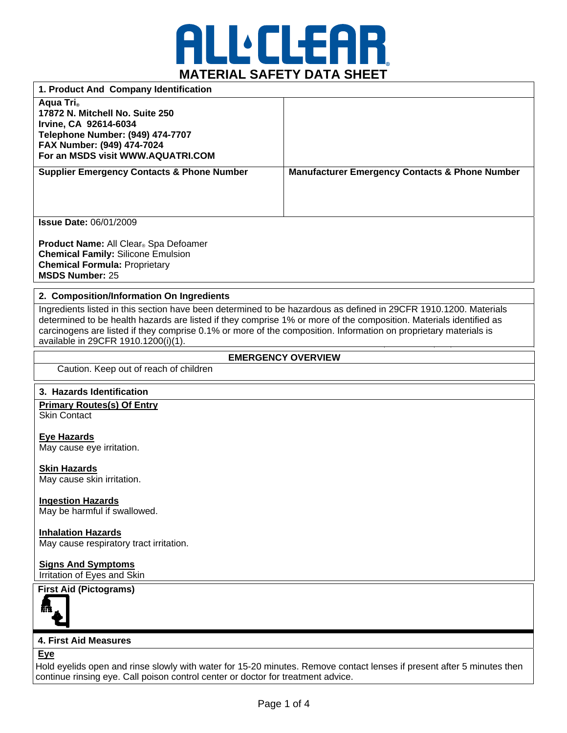

| 1. Product And Company Identification                                                                                                                                                           |                                                           |
|-------------------------------------------------------------------------------------------------------------------------------------------------------------------------------------------------|-----------------------------------------------------------|
| Aqua Tri <sub>®</sub><br>17872 N. Mitchell No. Suite 250<br>Irvine, CA 92614-6034<br><b>Telephone Number: (949) 474-7707</b><br>FAX Number: (949) 474-7024<br>For an MSDS visit WWW.AQUATRI.COM |                                                           |
| <b>Supplier Emergency Contacts &amp; Phone Number</b>                                                                                                                                           | <b>Manufacturer Emergency Contacts &amp; Phone Number</b> |
|                                                                                                                                                                                                 |                                                           |
|                                                                                                                                                                                                 |                                                           |
| <b>Issue Date: 06/01/2009</b>                                                                                                                                                                   |                                                           |
| Product Name: All Clear <sub>®</sub> Spa Defoamer<br><b>Chemical Family: Silicone Emulsion</b><br><b>Chemical Formula: Proprietary</b><br><b>MSDS Number: 25</b>                                |                                                           |

## **2. Composition/Information On Ingredients**

Ingredients listed in this section have been determined to be hazardous as defined in 29CFR 1910.1200. Materials determined to be health hazards are listed if they comprise 1% or more of the composition. Materials identified as carcinogens are listed if they comprise 0.1% or more of the composition. Information on proprietary materials is available in 29CFR 1910.1200(i)(1).

**EMERGENCY OVERVIEW** 

Caution. Keep out of reach of children

## **3. Hazards Identification**

**Primary Routes(s) Of Entry** Skin Contact

**Eye Hazards** May cause eye irritation.

**Skin Hazards** May cause skin irritation.

**Ingestion Hazards** May be harmful if swallowed.

**Inhalation Hazards** May cause respiratory tract irritation.

**Signs And Symptoms** Irritation of Eyes and Skin

**First Aid (Pictograms)** 



## **4. First Aid Measures**

## **Eye**

Hold eyelids open and rinse slowly with water for 15-20 minutes. Remove contact lenses if present after 5 minutes then continue rinsing eye. Call poison control center or doctor for treatment advice.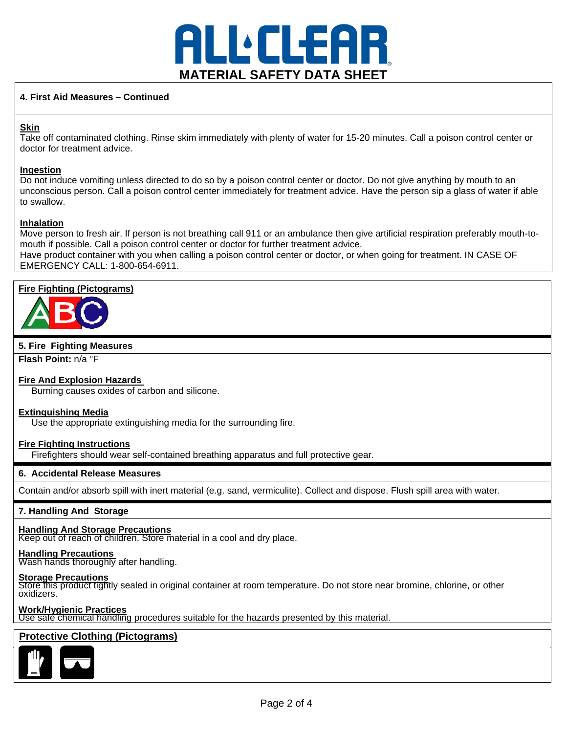

## **4. First Aid Measures – Continued**

# **Skin**

Take off contaminated clothing. Rinse skim immediately with plenty of water for 15-20 minutes. Call a poison control center or doctor for treatment advice.

## **Ingestion**

Do not induce vomiting unless directed to do so by a poison control center or doctor. Do not give anything by mouth to an unconscious person. Call a poison control center immediately for treatment advice. Have the person sip a glass of water if able to swallow.

# **Inhalation**

Move person to fresh air. If person is not breathing call 911 or an ambulance then give artificial respiration preferably mouth-tomouth if possible. Call a poison control center or doctor for further treatment advice.

Have product container with you when calling a poison control center or doctor, or when going for treatment. IN CASE OF EMERGENCY CALL: 1-800-654-6911.

# **Fire Fighting (Pictograms)**



# **5. Fire Fighting Measures**

**Flash Point:** n/a °F

# **Fire And Explosion Hazards**

Burning causes oxides of carbon and silicone.

#### **Extinguishing Media**

Use the appropriate extinguishing media for the surrounding fire.

#### **Fire Fighting Instructions**

Firefighters should wear self-contained breathing apparatus and full protective gear.

#### **6. Accidental Release Measures**

Contain and/or absorb spill with inert material (e.g. sand, vermiculite). Collect and dispose. Flush spill area with water.

#### **7. Handling And Storage**

#### **Handling And Storage Precautions**

Keep out of reach of children. Store material in a cool and dry place.

#### **Handling Precautions**

Wash hands thoroughly after handling.

#### **Storage Precautions**

Store this product tightly sealed in original container at room temperature. Do not store near bromine, chlorine, or other oxidizers.

#### **Work/Hygienic Practices**

Use safe chemical handling procedures suitable for the hazards presented by this material.

# **Protective Clothing (Pictograms)**

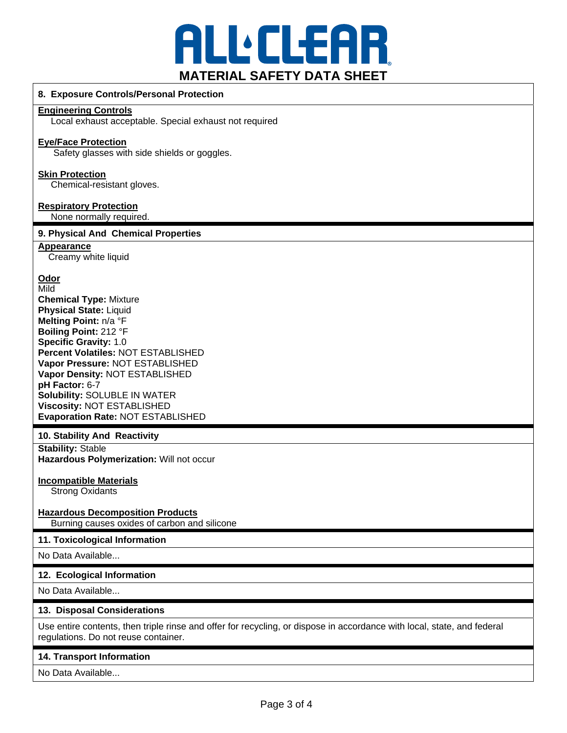

## **8. Exposure Controls/Personal Protection**

#### **Engineering Controls**

Local exhaust acceptable. Special exhaust not required

#### **Eye/Face Protection**

Safety glasses with side shields or goggles.

#### **Skin Protection**

Chemical-resistant gloves.

#### **Respiratory Protection**

None normally required.

#### **9. Physical And Chemical Properties**

#### **Appearance**

Creamy white liquid

# **Odor**

Mild **Chemical Type:** Mixture **Physical State:** Liquid **Melting Point:** n/a °F **Boiling Point:** 212 °F **Specific Gravity:** 1.0 **Percent Volatiles:** NOT ESTABLISHED **Vapor Pressure:** NOT ESTABLISHED **Vapor Density:** NOT ESTABLISHED **pH Factor:** 6-7 **Solubility:** SOLUBLE IN WATER **Viscosity:** NOT ESTABLISHED **Evaporation Rate:** NOT ESTABLISHED

#### **10. Stability And Reactivity**

**Stability:** Stable **Hazardous Polymerization:** Will not occur

#### **Incompatible Materials**

Strong Oxidants

# **Hazardous Decomposition Products**

Burning causes oxides of carbon and silicone

#### **11. Toxicological Information**

No Data Available...

#### **12. Ecological Information**

No Data Available...

#### **13. Disposal Considerations**

Use entire contents, then triple rinse and offer for recycling, or dispose in accordance with local, state, and federal regulations. Do not reuse container.

#### **14. Transport Information**

No Data Available...